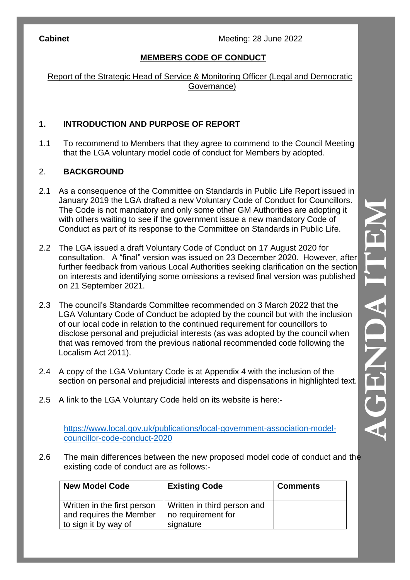## **MEMBERS CODE OF CONDUCT**

Report of the Strategic Head of Service & Monitoring Officer (Legal and Democratic Governance)

#### **1. INTRODUCTION AND PURPOSE OF REPORT**

1.1 To recommend to Members that they agree to commend to the Council Meeting that the LGA voluntary model code of conduct for Members by adopted.

#### 2. **BACKGROUND**

- 2.1 As a consequence of the Committee on Standards in Public Life Report issued in January 2019 the LGA drafted a new Voluntary Code of Conduct for Councillors. The Code is not mandatory and only some other GM Authorities are adopting it with others waiting to see if the government issue a new mandatory Code of Conduct as part of its response to the Committee on Standards in Public Life.
- 2.2 The LGA issued a draft Voluntary Code of Conduct on 17 August 2020 for consultation. A "final" version was issued on 23 December 2020. However, after further feedback from various Local Authorities seeking clarification on the section on interests and identifying some omissions a revised final version was published on 21 September 2021.
- 2.3 The council's Standards Committee recommended on 3 March 2022 that the LGA Voluntary Code of Conduct be adopted by the council but with the inclusion of our local code in relation to the continued requirement for councillors to disclose personal and prejudicial interests (as was adopted by the council when that was removed from the previous national recommended code following the Localism Act 2011).
- 2.4 A copy of the LGA Voluntary Code is at Appendix 4 with the inclusion of the section on personal and prejudicial interests and dispensations in highlighted text.
- 2.5 A link to the LGA Voluntary Code held on its website is here: -

[https://www.local.gov.uk/publications/local](https://www.local.gov.uk/publications/local-government-association-model-councillor-code-conduct-2020)-government-association-model[councillor](https://www.local.gov.uk/publications/local-government-association-model-councillor-code-conduct-2020) -code -conduct -2020

2.6 The main differences between the new proposed model code of conduct and the existing code of conduct are as follows: -

| New Model Code                                                                 | <b>Existing Code</b>                                           | <b>Comments</b> |
|--------------------------------------------------------------------------------|----------------------------------------------------------------|-----------------|
| Written in the first person<br>and requires the Member<br>to sign it by way of | Written in third person and<br>no requirement for<br>signature |                 |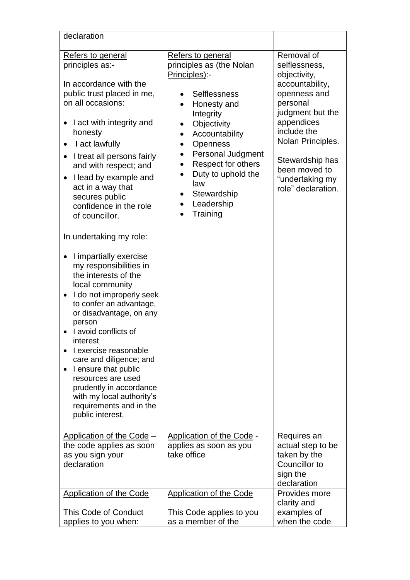| declaration                                                                                                                                                                                                                                                                                                                                                                                                                                                                                                                                                                                                                                                                                                                                                                                                                                                  |                                                                                                                                                                                                                                                                                                                                                                      |                                                                                                                                                                                                                                               |
|--------------------------------------------------------------------------------------------------------------------------------------------------------------------------------------------------------------------------------------------------------------------------------------------------------------------------------------------------------------------------------------------------------------------------------------------------------------------------------------------------------------------------------------------------------------------------------------------------------------------------------------------------------------------------------------------------------------------------------------------------------------------------------------------------------------------------------------------------------------|----------------------------------------------------------------------------------------------------------------------------------------------------------------------------------------------------------------------------------------------------------------------------------------------------------------------------------------------------------------------|-----------------------------------------------------------------------------------------------------------------------------------------------------------------------------------------------------------------------------------------------|
| Refers to general<br>principles as:-<br>In accordance with the<br>public trust placed in me,<br>on all occasions:<br>I act with integrity and<br>٠<br>honesty<br>I act lawfully<br>$\bullet$<br>I treat all persons fairly<br>$\bullet$<br>and with respect; and<br>I lead by example and<br>$\bullet$<br>act in a way that<br>secures public<br>confidence in the role<br>of councillor.<br>In undertaking my role:<br>I impartially exercise<br>my responsibilities in<br>the interests of the<br>local community<br>I do not improperly seek<br>to confer an advantage,<br>or disadvantage, on any<br>person<br>I avoid conflicts of<br>interest<br>I exercise reasonable<br>care and diligence; and<br>I ensure that public<br>resources are used<br>prudently in accordance<br>with my local authority's<br>requirements and in the<br>public interest. | Refers to general<br>principles as (the Nolan<br>Principles):-<br><b>Selflessness</b><br>Honesty and<br>$\bullet$<br>Integrity<br>Objectivity<br>$\bullet$<br>Accountability<br>Openness<br>$\bullet$<br><b>Personal Judgment</b><br>$\bullet$<br>Respect for others<br>$\bullet$<br>Duty to uphold the<br>law<br>Stewardship<br>$\bullet$<br>Leadership<br>Training | Removal of<br>selflessness,<br>objectivity,<br>accountability,<br>openness and<br>personal<br>judgment but the<br>appendices<br>include the<br>Nolan Principles.<br>Stewardship has<br>been moved to<br>"undertaking my<br>role" declaration. |
| Application of the Code -<br>the code applies as soon<br>as you sign your<br>declaration                                                                                                                                                                                                                                                                                                                                                                                                                                                                                                                                                                                                                                                                                                                                                                     | <b>Application of the Code -</b><br>applies as soon as you<br>take office                                                                                                                                                                                                                                                                                            | Requires an<br>actual step to be<br>taken by the<br>Councillor to<br>sign the<br>declaration                                                                                                                                                  |
| <b>Application of the Code</b><br>This Code of Conduct<br>applies to you when:                                                                                                                                                                                                                                                                                                                                                                                                                                                                                                                                                                                                                                                                                                                                                                               | <b>Application of the Code</b><br>This Code applies to you<br>as a member of the                                                                                                                                                                                                                                                                                     | Provides more<br>clarity and<br>examples of<br>when the code                                                                                                                                                                                  |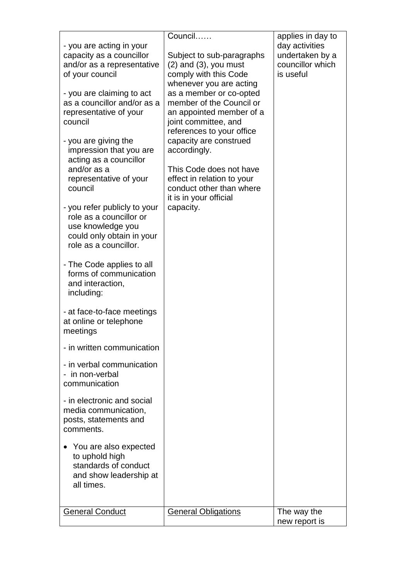| - The Code applies to all<br>forms of communication<br>and interaction,<br>including:<br>- at face-to-face meetings<br>at online or telephone<br>meetings<br>- in written communication<br>- in verbal communication<br>- in non-verbal<br>communication<br>- in electronic and social<br>media communication,<br>posts, statements and<br>comments.<br>You are also expected<br>to uphold high | - you are acting in your<br>capacity as a councillor<br>and/or as a representative<br>of your council<br>- you are claiming to act<br>as a councillor and/or as a<br>representative of your<br>council<br>- you are giving the<br>impression that you are<br>acting as a councillor<br>and/or as a<br>representative of your<br>council<br>- you refer publicly to your<br>role as a councillor or<br>use knowledge you<br>could only obtain in your<br>role as a councillor. | Council<br>Subject to sub-paragraphs<br>$(2)$ and $(3)$ , you must<br>comply with this Code<br>whenever you are acting<br>as a member or co-opted<br>member of the Council or<br>an appointed member of a<br>joint committee, and<br>references to your office<br>capacity are construed<br>accordingly.<br>This Code does not have<br>effect in relation to your<br>conduct other than where<br>it is in your official<br>capacity. | applies in day to<br>day activities<br>undertaken by a<br>councillor which<br>is useful |
|-------------------------------------------------------------------------------------------------------------------------------------------------------------------------------------------------------------------------------------------------------------------------------------------------------------------------------------------------------------------------------------------------|-------------------------------------------------------------------------------------------------------------------------------------------------------------------------------------------------------------------------------------------------------------------------------------------------------------------------------------------------------------------------------------------------------------------------------------------------------------------------------|--------------------------------------------------------------------------------------------------------------------------------------------------------------------------------------------------------------------------------------------------------------------------------------------------------------------------------------------------------------------------------------------------------------------------------------|-----------------------------------------------------------------------------------------|
| standards of conduct<br>and show leadership at<br>all times.<br><b>General Obligations</b><br><b>General Conduct</b><br>The way the<br>new report is                                                                                                                                                                                                                                            |                                                                                                                                                                                                                                                                                                                                                                                                                                                                               |                                                                                                                                                                                                                                                                                                                                                                                                                                      |                                                                                         |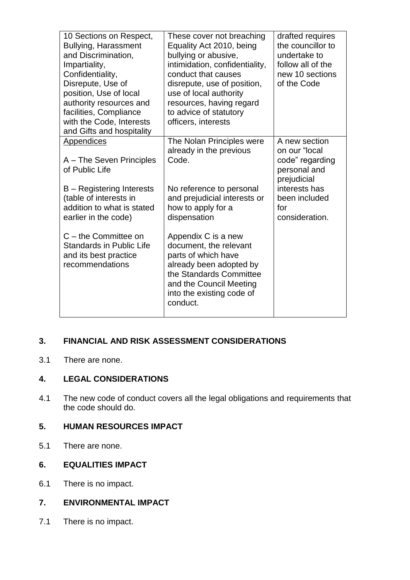| 10 Sections on Respect,<br><b>Bullying, Harassment</b><br>and Discrimination,<br>Impartiality,<br>Confidentiality,<br>Disrepute, Use of<br>position, Use of local<br>authority resources and<br>facilities, Compliance<br>with the Code, Interests<br>and Gifts and hospitality | These cover not breaching<br>Equality Act 2010, being<br>bullying or abusive,<br>intimidation, confidentiality,<br>conduct that causes<br>disrepute, use of position,<br>use of local authority<br>resources, having regard<br>to advice of statutory<br>officers, interests | drafted requires<br>the councillor to<br>undertake to<br>follow all of the<br>new 10 sections<br>of the Code                                |
|---------------------------------------------------------------------------------------------------------------------------------------------------------------------------------------------------------------------------------------------------------------------------------|------------------------------------------------------------------------------------------------------------------------------------------------------------------------------------------------------------------------------------------------------------------------------|---------------------------------------------------------------------------------------------------------------------------------------------|
| Appendices<br>A – The Seven Principles<br>of Public Life<br>B - Registering Interests<br>(table of interests in<br>addition to what is stated<br>earlier in the code)                                                                                                           | The Nolan Principles were<br>already in the previous<br>Code.<br>No reference to personal<br>and prejudicial interests or<br>how to apply for a<br>dispensation                                                                                                              | A new section<br>on our "local<br>code" regarding<br>personal and<br>prejudicial<br>interests has<br>been included<br>for<br>consideration. |
| $C$ – the Committee on<br><b>Standards in Public Life</b><br>and its best practice<br>recommendations                                                                                                                                                                           | Appendix C is a new<br>document, the relevant<br>parts of which have<br>already been adopted by<br>the Standards Committee<br>and the Council Meeting<br>into the existing code of<br>conduct.                                                                               |                                                                                                                                             |

## **3. FINANCIAL AND RISK ASSESSMENT CONSIDERATIONS**

3.1 There are none.

### **4. LEGAL CONSIDERATIONS**

4.1 The new code of conduct covers all the legal obligations and requirements that the code should do.

#### **5. HUMAN RESOURCES IMPACT**

5.1 There are none.

# **6. EQUALITIES IMPACT**

6.1 There is no impact.

# **7. ENVIRONMENTAL IMPACT**

7.1 There is no impact.